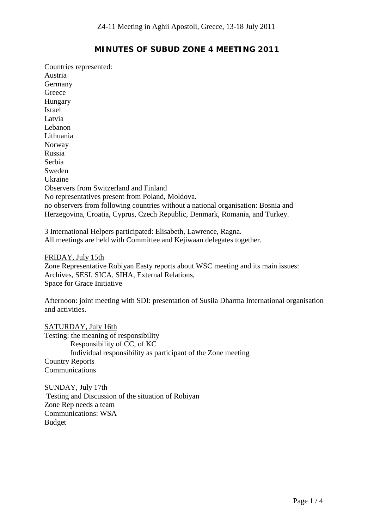## **MINUTES OF SUBUD ZONE 4 MEETING 2011**

Austria Countries represented: Germany Greece Hungary Israel Latvia Lebanon Lithuania Norway Russia Serbia Sweden Ukraine Observers from Switzerland and Finland No representatives present from Poland, Moldova. no observers from following countries without a national organisation: Bosnia and Herzegovina, Croatia, Cyprus, Czech Republic, Denmark, Romania, and Turkey.

3 International Helpers participated: Elisabeth, Lawrence, Ragna. All meetings are held with Committee and Kejiwaan delegates together.

Zone Representative Robiyan Easty reports about WSC meeting and its main issues: FRIDAY, July 15th Archives, SESI, SICA, SIHA, External Relations, Space for Grace Initiative

Afternoon: joint meeting with SDI: presentation of Susila Dharma International organisation and activities.

Testing: the meaning of responsibility SATURDAY, July 16th Responsibility of CC, of KC Individual responsibility as participant of the Zone meeting Country Reports **Communications** 

Testing and Discussion of the situation of Robiyan SUNDAY, July 17th Zone Rep needs a team Communications: WSA Budget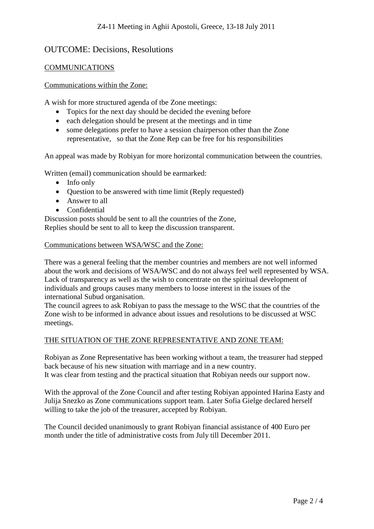# OUTCOME: Decisions, Resolutions

### COMMUNICATIONS

#### Communications within the Zone:

A wish for more structured agenda of tbe Zone meetings:

- Topics for the next day should be decided the evening before
- each delegation should be present at the meetings and in time
- some delegations prefer to have a session chairperson other than the Zone representative, so that the Zone Rep can be free for his responsibilities

An appeal was made by Robiyan for more horizontal communication between the countries.

Written (email) communication should be earmarked:

- Info only
- Ouestion to be answered with time limit (Reply requested)
- Answer to all
- Confidential

Discussion posts should be sent to all the countries of the Zone, Replies should be sent to all to keep the discussion transparent.

#### Communications between WSA/WSC and the Zone:

There was a general feeling that the member countries and members are not well informed about the work and decisions of WSA/WSC and do not always feel well represented by WSA. Lack of transparency as well as the wish to concentrate on the spiritual development of individuals and groups causes many members to loose interest in the issues of the international Subud organisation.

The council agrees to ask Robiyan to pass the message to the WSC that the countries of the Zone wish to be informed in advance about issues and resolutions to be discussed at WSC meetings.

#### THE SITUATION OF THE ZONE REPRESENTATIVE AND ZONE TEAM:

Robiyan as Zone Representative has been working without a team, the treasurer had stepped back because of his new situation with marriage and in a new country. It was clear from testing and the practical situation that Robiyan needs our support now.

With the approval of the Zone Council and after testing Robiyan appointed Harina Easty and Julija Snezko as Zone communications support team. Later Sofia Gielge declared herself willing to take the job of the treasurer, accepted by Robiyan.

The Council decided unanimously to grant Robiyan financial assistance of 400 Euro per month under the title of administrative costs from July till December 2011.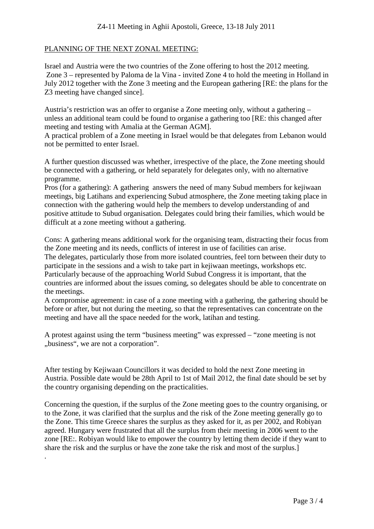### PLANNING OF THE NEXT ZONAL MEETING:

Israel and Austria were the two countries of the Zone offering to host the 2012 meeting. Zone 3 – represented by Paloma de la Vina - invited Zone 4 to hold the meeting in Holland in July 2012 together with the Zone 3 meeting and the European gathering [RE: the plans for the Z3 meeting have changed since].

Austria's restriction was an offer to organise a Zone meeting only, without a gathering – unless an additional team could be found to organise a gathering too [RE: this changed after meeting and testing with Amalia at the German AGM].

A practical problem of a Zone meeting in Israel would be that delegates from Lebanon would not be permitted to enter Israel.

A further question discussed was whether, irrespective of the place, the Zone meeting should be connected with a gathering, or held separately for delegates only, with no alternative programme.

Pros (for a gathering): A gathering answers the need of many Subud members for kejiwaan meetings, big Latihans and experiencing Subud atmosphere, the Zone meeting taking place in connection with the gathering would help the members to develop understanding of and positive attitude to Subud organisation. Delegates could bring their families, which would be difficult at a zone meeting without a gathering.

Cons: A gathering means additional work for the organising team, distracting their focus from the Zone meeting and its needs, conflicts of interest in use of facilities can arise.

The delegates, particularly those from more isolated countries, feel torn between their duty to participate in the sessions and a wish to take part in kejiwaan meetings, workshops etc. Particularly because of the approaching World Subud Congress it is important, that the countries are informed about the issues coming, so delegates should be able to concentrate on the meetings.

A compromise agreement: in case of a zone meeting with a gathering, the gathering should be before or after, but not during the meeting, so that the representatives can concentrate on the meeting and have all the space needed for the work, latihan and testing.

A protest against using the term "business meeting" was expressed – "zone meeting is not "business", we are not a corporation".

After testing by Kejiwaan Councillors it was decided to hold the next Zone meeting in Austria. Possible date would be 28th April to 1st of Mail 2012, the final date should be set by the country organising depending on the practicalities.

Concerning the question, if the surplus of the Zone meeting goes to the country organising, or to the Zone, it was clarified that the surplus and the risk of the Zone meeting generally go to the Zone. This time Greece shares the surplus as they asked for it, as per 2002, and Robiyan agreed. Hungary were frustrated that all the surplus from their meeting in 2006 went to the zone [RE:. Robiyan would like to empower the country by letting them decide if they want to share the risk and the surplus or have the zone take the risk and most of the surplus.]

.